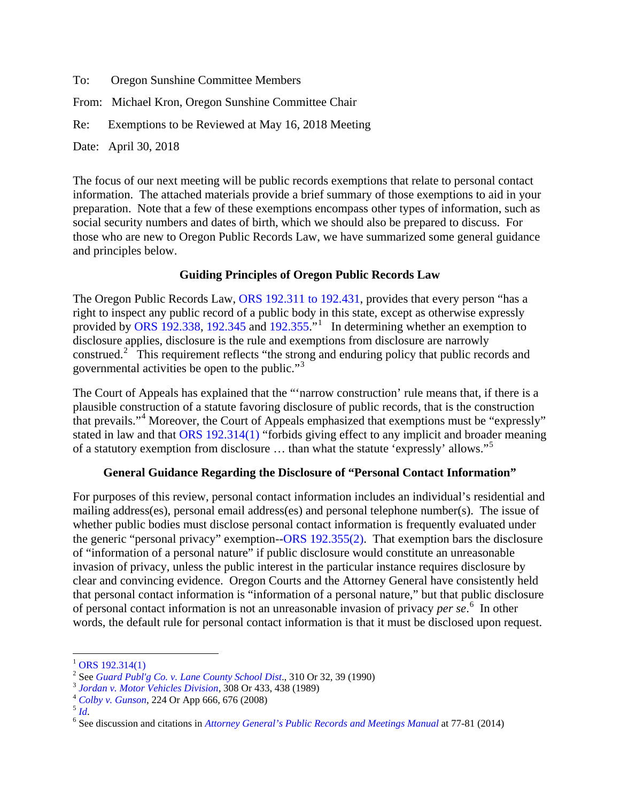To: Oregon Sunshine Committee Members

From: Michael Kron, Oregon Sunshine Committee Chair

Re: Exemptions to be Reviewed at May 16, 2018 Meeting

Date: April 30, 2018

The focus of our next meeting will be public records exemptions that relate to personal contact information. The attached materials provide a brief summary of those exemptions to aid in your preparation. Note that a few of these exemptions encompass other types of information, such as social security numbers and dates of birth, which we should also be prepared to discuss. For those who are new to Oregon Public Records Law, we have summarized some general guidance and principles below.

### **Guiding Principles of Oregon Public Records Law**

The Oregon Public Records Law, [ORS 192.311 to 192.431,](https://www.oregonlaws.org/ors/chapter/192) provides that every person "has a right to inspect any public record of a public body in this state, except as otherwise expressly provided by [ORS 192.338,](https://www.oregonlaws.org/ors/192.338) [192.345](https://www.oregonlaws.org/ors/192.345) and [192.355.](https://www.oregonlaws.org/ors/192.355)"<sup>[1](#page-0-0)</sup> In determining whether an exemption to disclosure applies, disclosure is the rule and exemptions from disclosure are narrowly construed.<sup>[2](#page-0-1)</sup> This requirement reflects "the strong and enduring policy that public records and governmental activities be open to the public."[3](#page-0-2)

The Court of Appeals has explained that the "'narrow construction' rule means that, if there is a plausible construction of a statute favoring disclosure of public records, that is the construction that prevails."[4](#page-0-3) Moreover, the Court of Appeals emphasized that exemptions must be "expressly" stated in law and that [ORS 192.314\(1\)](https://www.oregonlaws.org/ors/192.314) "forbids giving effect to any implicit and broader meaning of a statutory exemption from disclosure … than what the statute 'expressly' allows."[5](#page-0-4)

## **General Guidance Regarding the Disclosure of "Personal Contact Information"**

For purposes of this review, personal contact information includes an individual's residential and mailing address(es), personal email address(es) and personal telephone number(s). The issue of whether public bodies must disclose personal contact information is frequently evaluated under the generic "personal privacy" exemption-[-ORS 192.355\(2\).](https://www.oregonlaws.org/ors/192.355) That exemption bars the disclosure of "information of a personal nature" if public disclosure would constitute an unreasonable invasion of privacy, unless the public interest in the particular instance requires disclosure by clear and convincing evidence. Oregon Courts and the Attorney General have consistently held that personal contact information is "information of a personal nature," but that public disclosure of personal contact information is not an unreasonable invasion of privacy *per se*. [6](#page-0-5) In other words, the default rule for personal contact information is that it must be disclosed upon request.

l

<span id="page-0-0"></span> $^{1}$  [ORS 192.314\(1\)](https://www.oregonlaws.org/ors/192.314)<br> $^{2}$  See *Guard Publ'g Co. v. Lane County School Dist.*, 310 Or 32, 39 (1990)

<span id="page-0-5"></span><span id="page-0-4"></span>

<span id="page-0-3"></span><span id="page-0-2"></span><span id="page-0-1"></span><sup>&</sup>lt;sup>3</sup> [Jordan v. Motor Vehicles Division](https://scholar.google.com/scholar_case?case=17248427371355986615&q=308+Or+433&hl=en&as_sdt=6,38), 308 Or 433, 438 (1989)<br>  $^4$  [Colby v. Gunson](https://scholar.google.com/scholar_case?case=2570757434320727740&q=224+Or+App+666&hl=en&as_sdt=6,38), 224 Or App 666, 676 (2008)<br>  $^5$  [Id](https://scholar.google.com/scholar_case?case=2570757434320727740&q=224+Or+App+666&hl=en&as_sdt=6,38).<br>  $^6$  See discussion and citations in [Attorney General's Public Records and Meetings Manual](https://www.doj.state.or.us/oregon-department-of-justice/public-records/attorney-generals-public-records-and-meetings-manual-2014/) at 77-8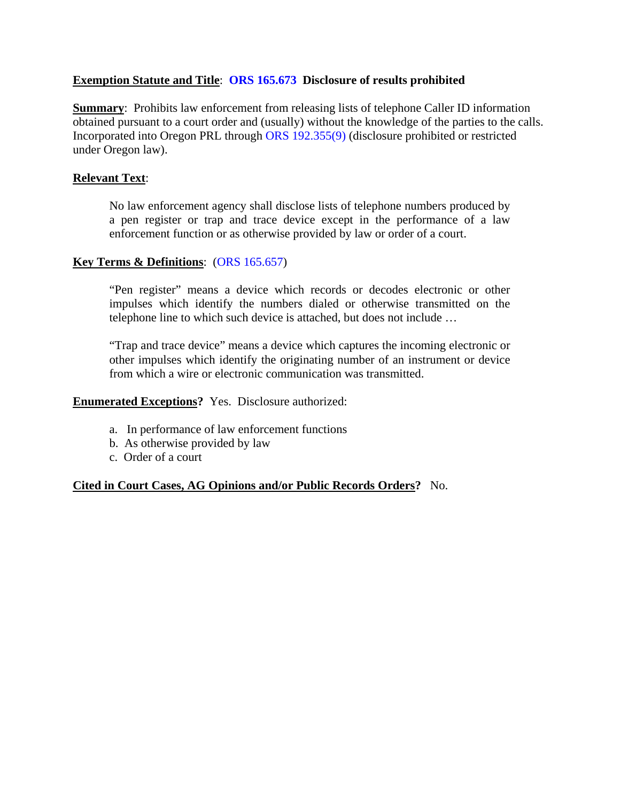### **Exemption Statute and Title**: **[ORS 165.673](https://www.oregonlaws.org/ors/165.673) Disclosure of results prohibited**

**Summary:** Prohibits law enforcement from releasing lists of telephone Caller ID information obtained pursuant to a court order and (usually) without the knowledge of the parties to the calls. Incorporated into Oregon PRL through [ORS 192.355\(9\)](https://www.oregonlaws.org/ors/192.355) (disclosure prohibited or restricted under Oregon law).

### **Relevant Text**:

No law enforcement agency shall disclose lists of telephone numbers produced by a pen register or trap and trace device except in the performance of a law enforcement function or as otherwise provided by law or order of a court.

### **Key Terms & Definitions**: [\(ORS 165.657\)](https://www.oregonlaws.org/ors/165.657)

"Pen register" means a device which records or decodes electronic or other impulses which identify the numbers dialed or otherwise transmitted on the telephone line to which such device is attached, but does not include …

"Trap and trace device" means a device which captures the incoming electronic or other impulses which identify the originating number of an instrument or device from which a wire or electronic communication was transmitted.

#### **Enumerated Exceptions?** Yes. Disclosure authorized:

- a. In performance of law enforcement functions
- b. As otherwise provided by law
- c. Order of a court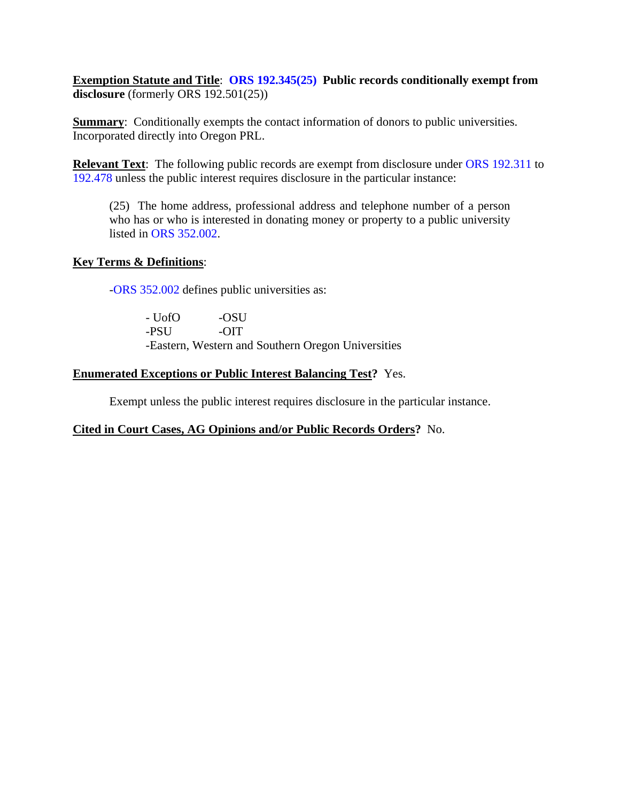**Exemption Statute and Title**: **[ORS 192.345\(25\)](https://www.oregonlaws.org/ors/192.345) Public records conditionally exempt from disclosure** (formerly ORS 192.501(25))

**Summary:** Conditionally exempts the contact information of donors to public universities. Incorporated directly into Oregon PRL.

**Relevant Text:** The following public records are exempt from disclosure under [ORS 192.311](https://www.oregonlaws.org/ors/192.311) to [192.478](https://www.oregonlaws.org/ors/192.478) unless the public interest requires disclosure in the particular instance:

(25) The home address, professional address and telephone number of a person who has or who is interested in donating money or property to a public university listed in [ORS 352.002.](https://www.oregonlaws.org/ors/352.002)

### **Key Terms & Definitions**:

[-ORS 352.002](https://www.oregonlaws.org/ors/352.002) defines public universities as:

| - UofO | -OSU   |                                                    |
|--------|--------|----------------------------------------------------|
| -PSU   | $-OIT$ |                                                    |
|        |        | -Eastern, Western and Southern Oregon Universities |

### **Enumerated Exceptions or Public Interest Balancing Test?** Yes.

Exempt unless the public interest requires disclosure in the particular instance.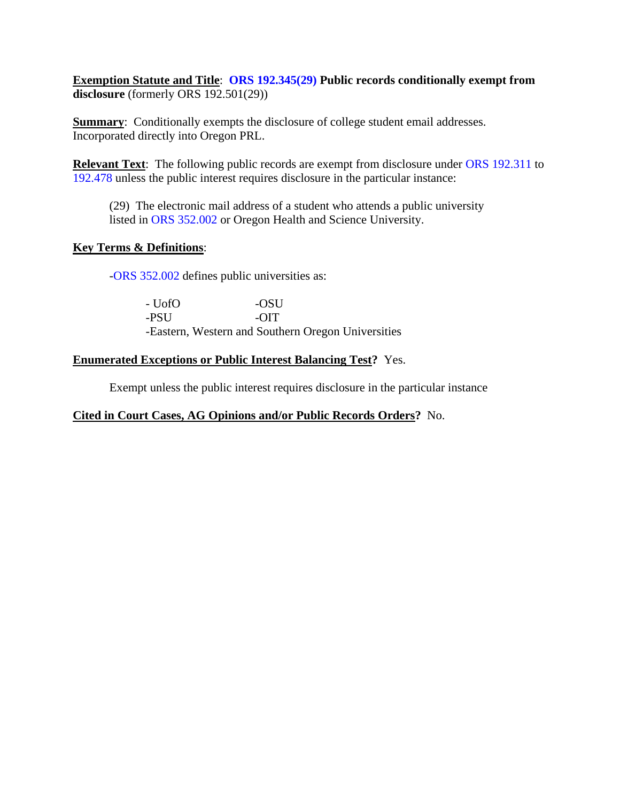**Exemption Statute and Title**: **[ORS 192.345\(29\)](https://www.oregonlaws.org/ors/192.345) Public records conditionally exempt from disclosure** (formerly ORS 192.501(29))

**Summary:** Conditionally exempts the disclosure of college student email addresses. Incorporated directly into Oregon PRL.

**Relevant Text**: The following public records are exempt from disclosure under [ORS 192.311](https://www.oregonlaws.org/ors/192.311) to [192.478](https://www.oregonlaws.org/ors/192.478) unless the public interest requires disclosure in the particular instance:

(29) The electronic mail address of a student who attends a public university listed in [ORS 352.002](https://www.oregonlaws.org/ors/352.002) or Oregon Health and Science University.

### **Key Terms & Definitions**:

[-ORS 352.002](https://www.oregonlaws.org/ors/352.002) defines public universities as:

| - UofO | -OSU                                               |
|--------|----------------------------------------------------|
| -PSU   | $ \Omega$ T                                        |
|        | -Eastern, Western and Southern Oregon Universities |

### **Enumerated Exceptions or Public Interest Balancing Test?** Yes.

Exempt unless the public interest requires disclosure in the particular instance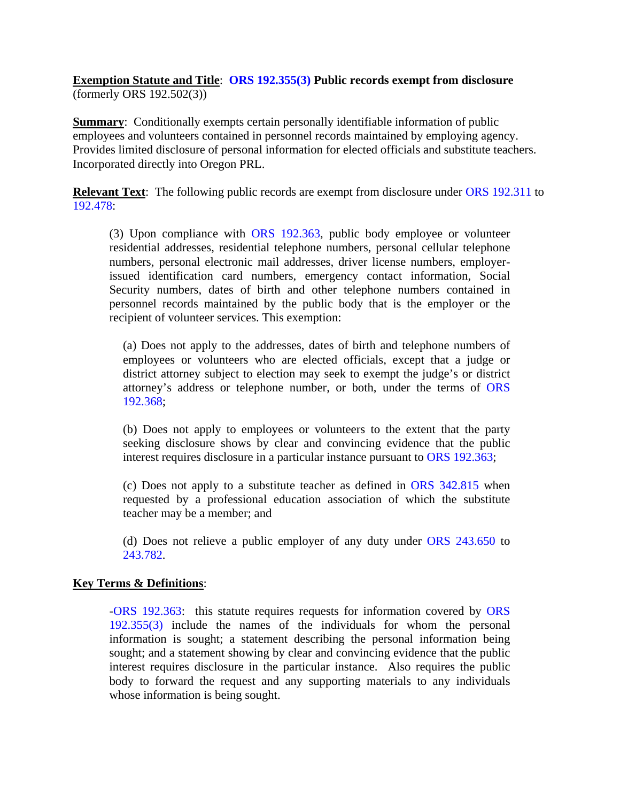### **Exemption Statute and Title**: **[ORS 192.355\(3\)](https://www.oregonlaws.org/ors/192.355) Public records exempt from disclosure** (formerly ORS 192.502(3))

**Summary:** Conditionally exempts certain personally identifiable information of public employees and volunteers contained in personnel records maintained by employing agency. Provides limited disclosure of personal information for elected officials and substitute teachers. Incorporated directly into Oregon PRL.

**Relevant Text**: The following public records are exempt from disclosure under [ORS 192.311](https://www.oregonlaws.org/ors/192.311) to [192.478:](https://www.oregonlaws.org/ors/192.478)

(3) Upon compliance with [ORS 192.363,](https://www.oregonlaws.org/ors/192.363) public body employee or volunteer residential addresses, residential telephone numbers, personal cellular telephone numbers, personal electronic mail addresses, driver license numbers, employerissued identification card numbers, emergency contact information, Social Security numbers, dates of birth and other telephone numbers contained in personnel records maintained by the public body that is the employer or the recipient of volunteer services. This exemption:

(a) Does not apply to the addresses, dates of birth and telephone numbers of employees or volunteers who are elected officials, except that a judge or district attorney subject to election may seek to exempt the judge's or district attorney's address or telephone number, or both, under the terms of [ORS](https://www.oregonlaws.org/ors/192.368)  [192.368;](https://www.oregonlaws.org/ors/192.368)

(b) Does not apply to employees or volunteers to the extent that the party seeking disclosure shows by clear and convincing evidence that the public interest requires disclosure in a particular instance pursuant to ORS [192.363;](https://www.oregonlaws.org/ors/192.363)

(c) Does not apply to a substitute teacher as defined in [ORS 342.815](https://www.oregonlaws.org/ors/342.815) when requested by a professional education association of which the substitute teacher may be a member; and

(d) Does not relieve a public employer of any duty under [ORS 243.650](https://www.oregonlaws.org/ors/243.650) to [243.782.](https://www.oregonlaws.org/ors/243.682)

### **Key Terms & Definitions**:

[-ORS 192.363:](https://www.oregonlaws.org/ors/192.363) this statute requires requests for information covered by [ORS](https://www.oregonlaws.org/ors/192.355)  [192.355\(3\)](https://www.oregonlaws.org/ors/192.355) include the names of the individuals for whom the personal information is sought; a statement describing the personal information being sought; and a statement showing by clear and convincing evidence that the public interest requires disclosure in the particular instance. Also requires the public body to forward the request and any supporting materials to any individuals whose information is being sought.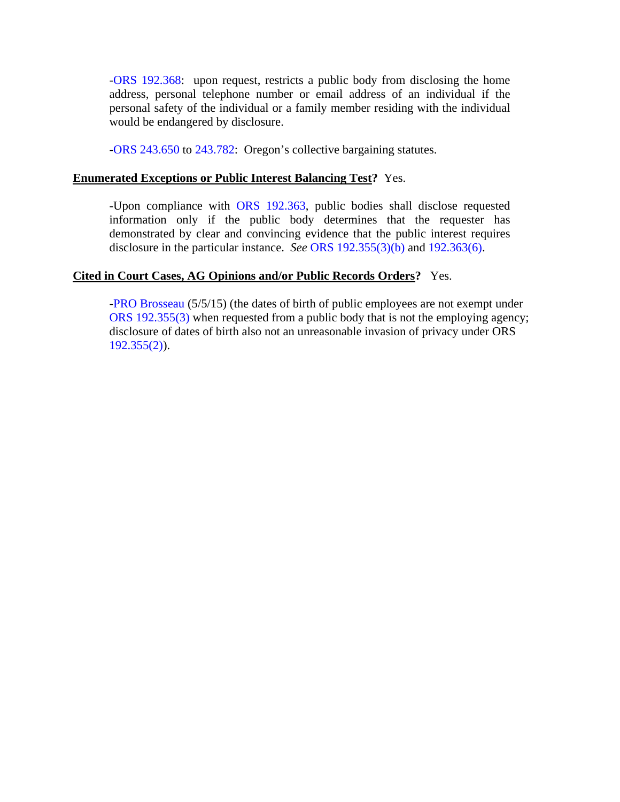[-ORS 192.368:](https://www.oregonlaws.org/ors/192.368) upon request, restricts a public body from disclosing the home address, personal telephone number or email address of an individual if the personal safety of the individual or a family member residing with the individual would be endangered by disclosure.

[-ORS 243.650](https://www.oregonlaws.org/ors/243.650) to [243.782:](https://www.oregonlaws.org/ors/243.682) Oregon's collective bargaining statutes.

#### **Enumerated Exceptions or Public Interest Balancing Test?** Yes.

-Upon compliance with [ORS 192.363,](https://www.oregonlaws.org/ors/192.363) public bodies shall disclose requested information only if the public body determines that the requester has demonstrated by clear and convincing evidence that the public interest requires disclosure in the particular instance. *See* [ORS 192.355\(3\)\(b\)](https://www.oregonlaws.org/ors/192.355) and 192.363(6).

### **Cited in Court Cases, AG Opinions and/or Public Records Orders?** Yes.

[-PRO Brosseau](http://cdm17027.contentdm.oclc.org/cdm/ref/collection/p17027coll2/id/1802/rec/2) (5/5/15) (the dates of birth of public employees are not exempt under [ORS 192.355\(3\)](https://www.oregonlaws.org/ors/192.355) when requested from a public body that is not the employing agency; disclosure of dates of birth also not an unreasonable invasion of privacy under ORS  $192.355(2)$ ).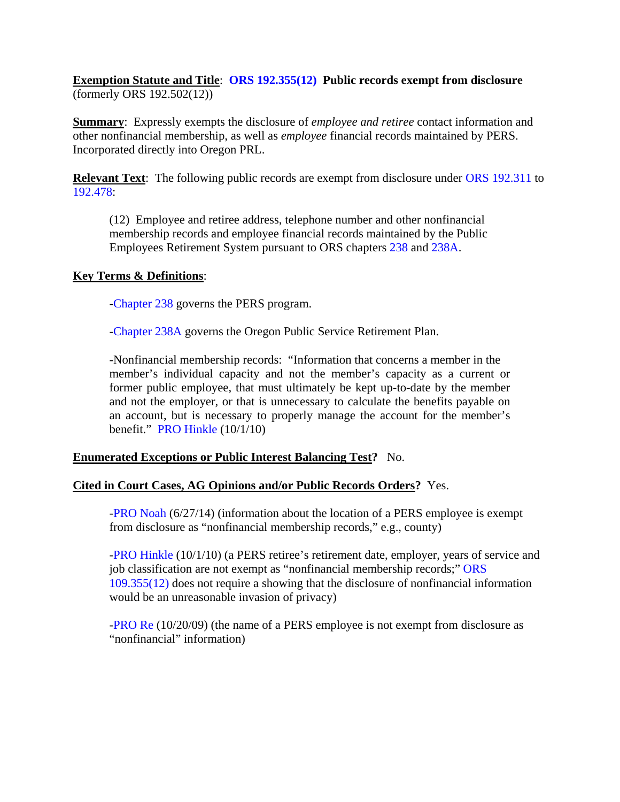## **Exemption Statute and Title**: **[ORS 192.355\(12\)](https://www.oregonlaws.org/ors/192.355) Public records exempt from disclosure** (formerly ORS 192.502(12))

**Summary**: Expressly exempts the disclosure of *employee and retiree* contact information and other nonfinancial membership, as well as *employee* financial records maintained by PERS. Incorporated directly into Oregon PRL.

**Relevant Text:** The following public records are exempt from disclosure under [ORS 192.311](https://www.oregonlaws.org/ors/192.311) to [192.478:](https://www.oregonlaws.org/ors/192.478)

(12) Employee and retiree address, telephone number and other nonfinancial membership records and employee financial records maintained by the Public Employees Retirement System pursuant to ORS chapters [238](https://www.oregonlaws.org/ors/chapter/238) and [238A.](https://www.oregonlaws.org/ors/chapter/238A)

### **Key Terms & Definitions**:

[-Chapter 238](https://www.oregonlaws.org/ors/chapter/238) governs the PERS program.

[-Chapter 238A](https://www.oregonlaws.org/ors/chapter/238A) governs the Oregon Public Service Retirement Plan.

-Nonfinancial membership records: "Information that concerns a member in the member's individual capacity and not the member's capacity as a current or former public employee, that must ultimately be kept up-to-date by the member and not the employer, or that is unnecessary to calculate the benefits payable on an account, but is necessary to properly manage the account for the member's benefit." PRO Hinkle (10/1/10)

## **Enumerated Exceptions or Public Interest Balancing Test?** No.

## **Cited in Court Cases, AG Opinions and/or Public Records Orders?** Yes.

[-PRO Noah](http://cdm17027.contentdm.oclc.org/cdm/singleitem/collection/p17027coll2/id/1748/rec/1) (6/27/14) (information about the location of a PERS employee is exempt from disclosure as "nonfinancial membership records," e.g., county)

[-PRO Hinkle](http://cdm17027.contentdm.oclc.org/cdm/singleitem/collection/p17027coll2/id/1834/rec/4) (10/1/10) (a PERS retiree's retirement date, employer, years of service and job classification are not exempt as "nonfinancial membership records;" [ORS](https://www.oregonlaws.org/ors/192.355)  [109.355\(12\)](https://www.oregonlaws.org/ors/192.355) does not require a showing that the disclosure of nonfinancial information would be an unreasonable invasion of privacy)

[-PRO Re](http://cdm17027.contentdm.oclc.org/cdm/singleitem/collection/p17027coll2/id/1341/rec/1) (10/20/09) (the name of a PERS employee is not exempt from disclosure as "nonfinancial" information)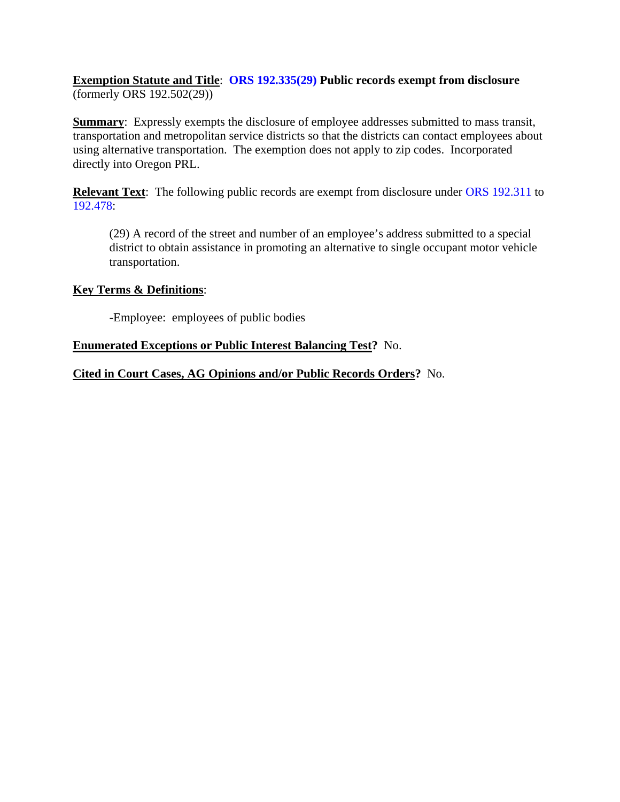## **Exemption Statute and Title**: **[ORS 192.335\(29\)](https://www.oregonlaws.org/ors/192.355) Public records exempt from disclosure** (formerly ORS 192.502(29))

**Summary:** Expressly exempts the disclosure of employee addresses submitted to mass transit, transportation and metropolitan service districts so that the districts can contact employees about using alternative transportation. The exemption does not apply to zip codes. Incorporated directly into Oregon PRL.

**Relevant Text:** The following public records are exempt from disclosure under [ORS 192.311](https://www.oregonlaws.org/ors/192.311) to [192.478:](https://www.oregonlaws.org/ors/192.478)

(29) A record of the street and number of an employee's address submitted to a special district to obtain assistance in promoting an alternative to single occupant motor vehicle transportation.

### **Key Terms & Definitions**:

-Employee: employees of public bodies

### **Enumerated Exceptions or Public Interest Balancing Test?** No.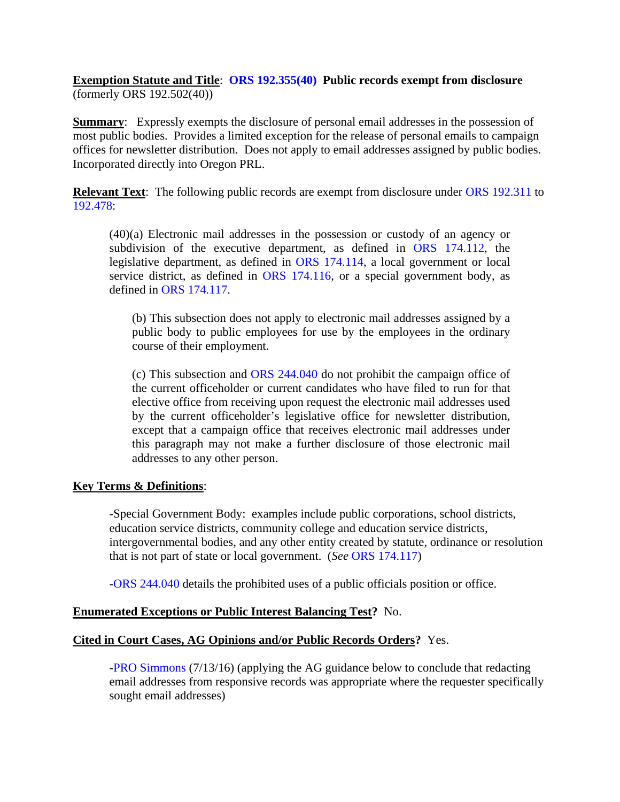**Exemption Statute and Title**: **[ORS 192.355\(40\)](https://www.oregonlaws.org/ors/192.355) Public records exempt from disclosure** (formerly ORS 192.502(40))

**Summary:** Expressly exempts the disclosure of personal email addresses in the possession of most public bodies. Provides a limited exception for the release of personal emails to campaign offices for newsletter distribution. Does not apply to email addresses assigned by public bodies. Incorporated directly into Oregon PRL.

**Relevant Text**: The following public records are exempt from disclosure under [ORS 192.311](https://www.oregonlaws.org/ors/192.311) to [192.478:](https://www.oregonlaws.org/ors/192.478)

(40)(a) Electronic mail addresses in the possession or custody of an agency or subdivision of the executive department, as defined in ORS [174.112,](https://www.oregonlaws.org/ors/174.112) the legislative department, as defined in [ORS 174.114,](https://www.oregonlaws.org/ors/174.114) a local government or local service district, as defined in [ORS 174.116,](https://www.oregonlaws.org/ors/174.116) or a special government body, as defined in [ORS 174.117.](https://www.oregonlaws.org/ors/174.117)

(b) This subsection does not apply to electronic mail addresses assigned by a public body to public employees for use by the employees in the ordinary course of their employment.

(c) This subsection and [ORS 244.040](https://www.oregonlaws.org/ors/244.040) do not prohibit the campaign office of the current officeholder or current candidates who have filed to run for that elective office from receiving upon request the electronic mail addresses used by the current officeholder's legislative office for newsletter distribution, except that a campaign office that receives electronic mail addresses under this paragraph may not make a further disclosure of those electronic mail addresses to any other person.

#### **Key Terms & Definitions**:

-Special Government Body: examples include public corporations, school districts, education service districts, community college and education service districts, intergovernmental bodies, and any other entity created by statute, ordinance or resolution that is not part of state or local government. (*See* [ORS 174.117\)](https://www.oregonlaws.org/ors/174.117)

[-ORS 244.040](https://www.oregonlaws.org/ors/244.040) details the prohibited uses of a public officials position or office.

### **Enumerated Exceptions or Public Interest Balancing Test?** No.

### **Cited in Court Cases, AG Opinions and/or Public Records Orders?** Yes.

[-PRO Simmons](http://cdm17027.contentdm.oclc.org/cdm/singleitem/collection/p17027coll2/id/2030/rec/1) (7/13/16) (applying the AG guidance below to conclude that redacting email addresses from responsive records was appropriate where the requester specifically sought email addresses)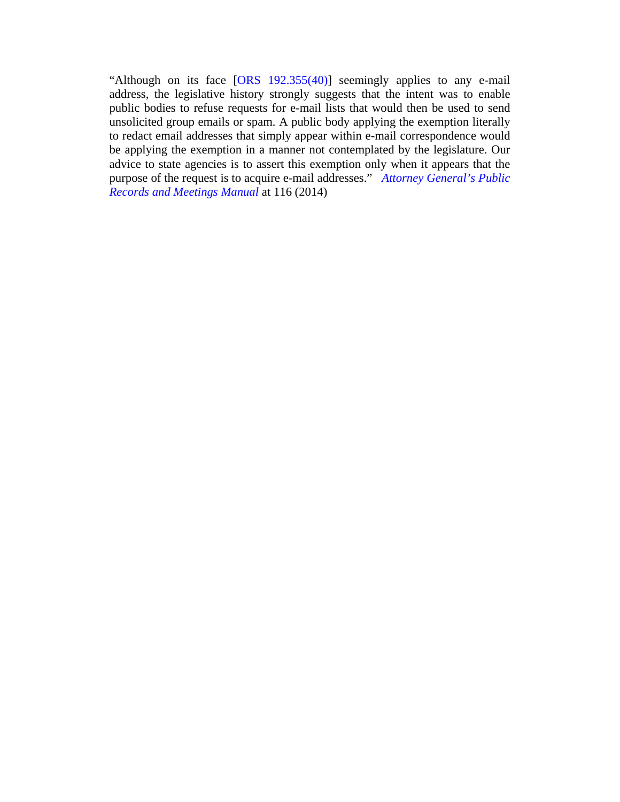"Although on its face  $[ORS 192.355(40)]$  seemingly applies to any e-mail address, the legislative history strongly suggests that the intent was to enable public bodies to refuse requests for e-mail lists that would then be used to send unsolicited group emails or spam. A public body applying the exemption literally to redact email addresses that simply appear within e-mail correspondence would be applying the exemption in a manner not contemplated by the legislature. Our advice to state agencies is to assert this exemption only when it appears that the purpose of the request is to acquire e-mail addresses." *[Attorney General's Public](https://www.doj.state.or.us/oregon-department-of-justice/public-records/attorney-generals-public-records-and-meetings-manual-2014/https:/www.doj.state.or.us/oregon-department-of-justice/public-records/attorney-generals-public-records-and-meetings-manual-2014/)  [Records and Meetings Manual](https://www.doj.state.or.us/oregon-department-of-justice/public-records/attorney-generals-public-records-and-meetings-manual-2014/https:/www.doj.state.or.us/oregon-department-of-justice/public-records/attorney-generals-public-records-and-meetings-manual-2014/)* at 116 (2014)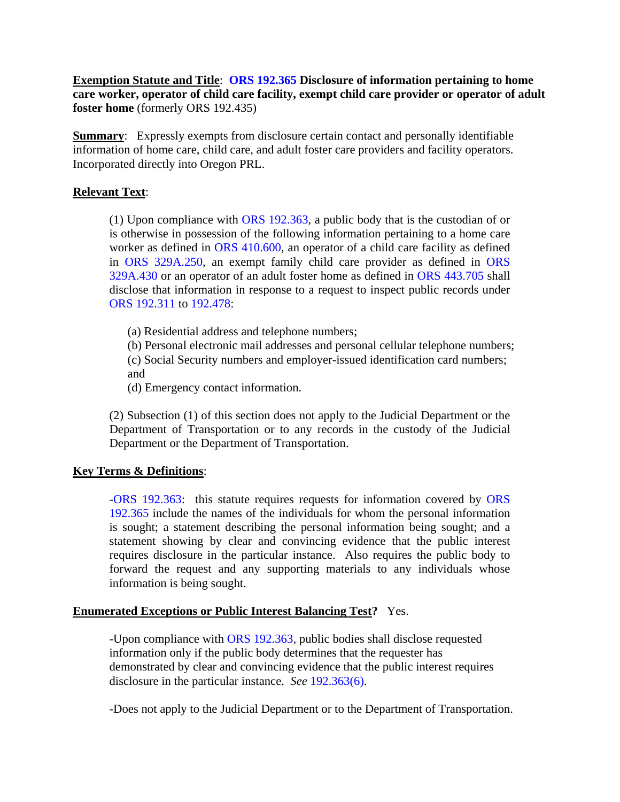**Exemption Statute and Title**: **[ORS 192.365](https://www.oregonlaws.org/ors/192.365) Disclosure of information pertaining to home care worker, operator of child care facility, exempt child care provider or operator of adult foster home** (formerly ORS 192.435)

**Summary:** Expressly exempts from disclosure certain contact and personally identifiable information of home care, child care, and adult foster care providers and facility operators. Incorporated directly into Oregon PRL.

## **Relevant Text**:

(1) Upon compliance with [ORS 192.363,](https://www.oregonlaws.org/ors/192.363) a public body that is the custodian of or is otherwise in possession of the following information pertaining to a home care worker as defined in [ORS 410.600,](https://www.oregonlaws.org/ors/410.600) an operator of a child care facility as defined in [ORS 329A.250,](https://www.oregonlaws.org/ors/329A.250) an exempt family child care provider as defined in [ORS](https://www.oregonlaws.org/ors/329A.430)  [329A.430](https://www.oregonlaws.org/ors/329A.430) or an operator of an adult foster home as defined in [ORS 443.705](https://www.oregonlaws.org/ors/443.705) shall disclose that information in response to a request to inspect public records under [ORS 192.311](https://www.oregonlaws.org/ors/192.311) to [192.478:](https://www.oregonlaws.org/ors/192.478)

(a) Residential address and telephone numbers;

(b) Personal electronic mail addresses and personal cellular telephone numbers;

(c) Social Security numbers and employer-issued identification card numbers; and

(d) Emergency contact information.

(2) Subsection (1) of this section does not apply to the Judicial Department or the Department of Transportation or to any records in the custody of the Judicial Department or the Department of Transportation.

### **Key Terms & Definitions**:

[-ORS 192.363:](https://www.oregonlaws.org/ors/192.363) this statute requires requests for information covered by [ORS](https://www.oregonlaws.org/ors/192.365)  [192.365](https://www.oregonlaws.org/ors/192.365) include the names of the individuals for whom the personal information is sought; a statement describing the personal information being sought; and a statement showing by clear and convincing evidence that the public interest requires disclosure in the particular instance. Also requires the public body to forward the request and any supporting materials to any individuals whose information is being sought.

### **Enumerated Exceptions or Public Interest Balancing Test?** Yes.

-Upon compliance with [ORS 192.363,](https://www.oregonlaws.org/ors/192.363) public bodies shall disclose requested information only if the public body determines that the requester has demonstrated by clear and convincing evidence that the public interest requires disclosure in the particular instance. *See* [192.363\(6\).](https://www.oregonlaws.org/ors/192.363)

-Does not apply to the Judicial Department or to the Department of Transportation.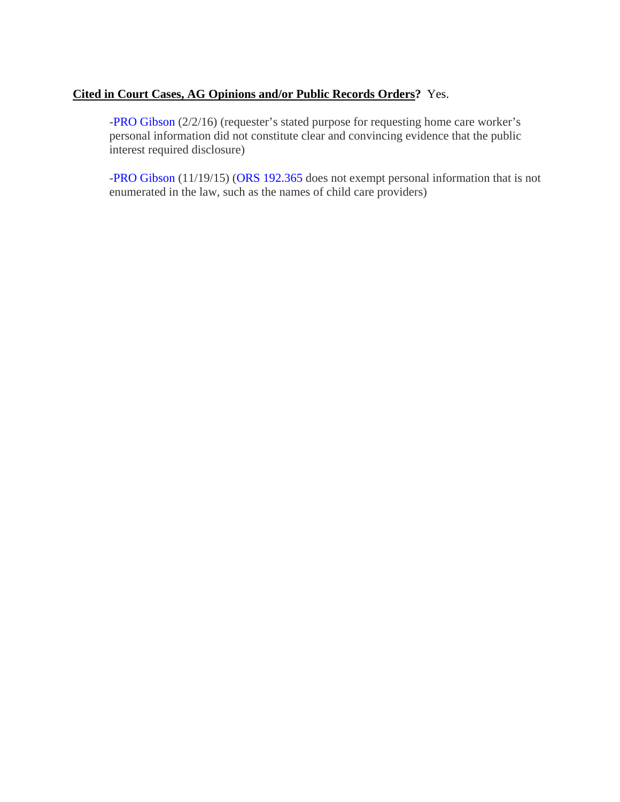## **Cited in Court Cases, AG Opinions and/or Public Records Orders?** Yes.

[-PRO Gibson](http://cdm17027.contentdm.oclc.org/cdm/singleitem/collection/p17027coll2/id/1996/rec/1) (2/2/16) (requester's stated purpose for requesting home care worker's personal information did not constitute clear and convincing evidence that the public interest required disclosure)

[-PRO Gibson](http://cdm17027.contentdm.oclc.org/cdm/ref/collection/p17027coll2/id/1775/rec/2) (11/19/15) [\(ORS 192.365](https://www.oregonlaws.org/ors/192.365) does not exempt personal information that is not enumerated in the law, such as the names of child care providers)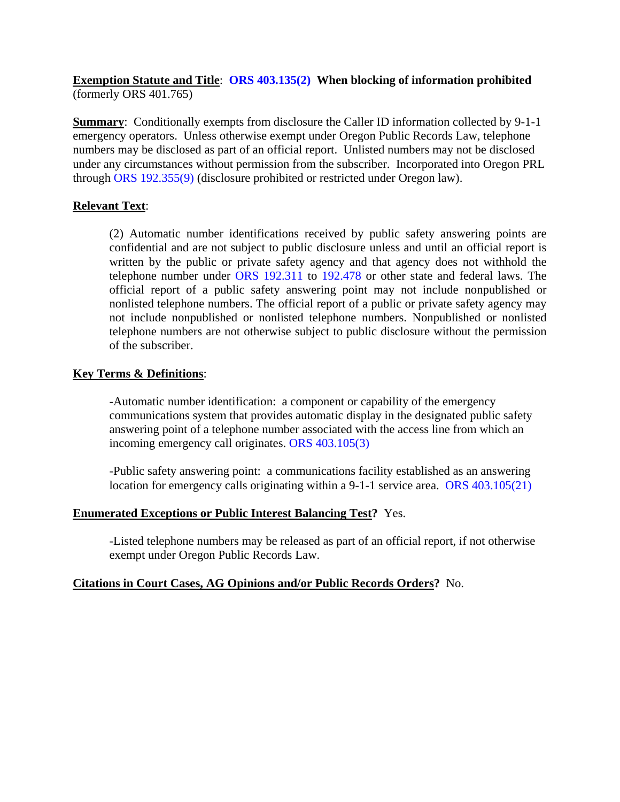## **Exemption Statute and Title**: **[ORS 403.135\(2\)](https://www.oregonlaws.org/ors/403.135) When blocking of information prohibited** (formerly ORS 401.765)

**Summary:** Conditionally exempts from disclosure the Caller ID information collected by 9-1-1 emergency operators. Unless otherwise exempt under Oregon Public Records Law, telephone numbers may be disclosed as part of an official report. Unlisted numbers may not be disclosed under any circumstances without permission from the subscriber. Incorporated into Oregon PRL through [ORS 192.355\(9\)](https://www.oregonlaws.org/ors/192.355) (disclosure prohibited or restricted under Oregon law).

## **Relevant Text**:

(2) Automatic number identifications received by public safety answering points are confidential and are not subject to public disclosure unless and until an official report is written by the public or private safety agency and that agency does not withhold the telephone number under [ORS 192.311](https://www.oregonlaws.org/ors/192.311) to [192.478](https://www.oregonlaws.org/ors/192.478) or other state and federal laws. The official report of a public safety answering point may not include nonpublished or nonlisted telephone numbers. The official report of a public or private safety agency may not include nonpublished or nonlisted telephone numbers. Nonpublished or nonlisted telephone numbers are not otherwise subject to public disclosure without the permission of the subscriber.

### **Key Terms & Definitions**:

-Automatic number identification: a component or capability of the emergency communications system that provides automatic display in the designated public safety answering point of a telephone number associated with the access line from which an incoming emergency call originates. [ORS 403.105\(3\)](https://www.oregonlaws.org/ors/403.105)

-Public safety answering point: a communications facility established as an answering location for emergency calls originating within a 9-1-1 service area. [ORS 403.105\(21\)](https://www.oregonlaws.org/ors/403.105)

### **Enumerated Exceptions or Public Interest Balancing Test?** Yes.

-Listed telephone numbers may be released as part of an official report, if not otherwise exempt under Oregon Public Records Law.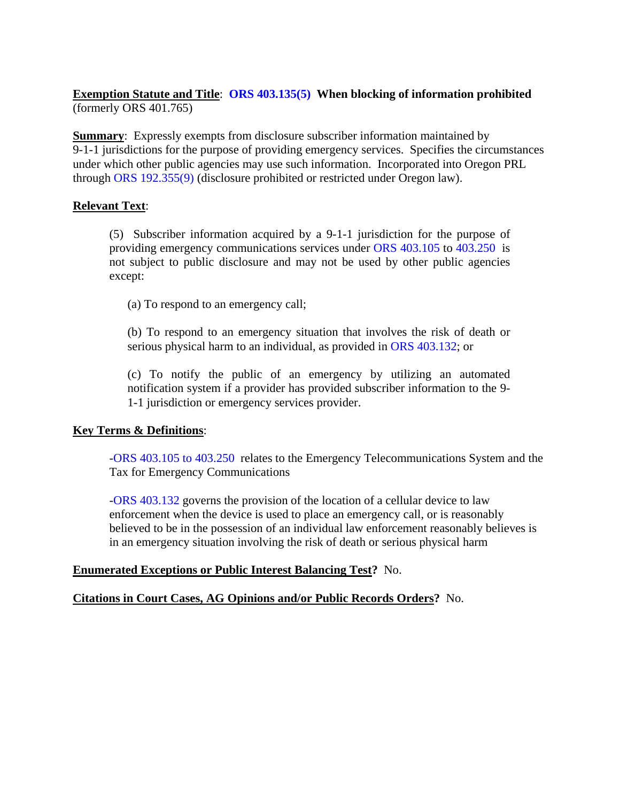## **Exemption Statute and Title**: **[ORS 403.135\(5\)](https://www.oregonlaws.org/ors/403.135) When blocking of information prohibited** (formerly ORS 401.765)

**Summary:** Expressly exempts from disclosure subscriber information maintained by 9-1-1 jurisdictions for the purpose of providing emergency services. Specifies the circumstances under which other public agencies may use such information. Incorporated into Oregon PRL through [ORS 192.355\(9\)](https://www.oregonlaws.org/ors/192.355) (disclosure prohibited or restricted under Oregon law).

## **Relevant Text**:

(5) Subscriber information acquired by a 9-1-1 jurisdiction for the purpose of providing emergency communications services under [ORS 403.105](https://www.oregonlaws.org/ors/403.105) to [403.250](https://www.oregonlaws.org/ors/403.250) is not subject to public disclosure and may not be used by other public agencies except:

(a) To respond to an emergency call;

(b) To respond to an emergency situation that involves the risk of death or serious physical harm to an individual, as provided in [ORS 403.132;](https://www.oregonlaws.org/ors/403.132) or

(c) To notify the public of an emergency by utilizing an automated notification system if a provider has provided subscriber information to the 9- 1-1 jurisdiction or emergency services provider.

## **Key Terms & Definitions**:

[-ORS 403.105 to 403.250](https://www.oregonlaws.org/ors/chapter/403) relates to the Emergency Telecommunications System and the Tax for Emergency Communications

[-ORS 403.132](https://www.oregonlaws.org/ors/403.132) governs the provision of the location of a cellular device to law enforcement when the device is used to place an emergency call, or is reasonably believed to be in the possession of an individual law enforcement reasonably believes is in an emergency situation involving the risk of death or serious physical harm

### **Enumerated Exceptions or Public Interest Balancing Test?** No.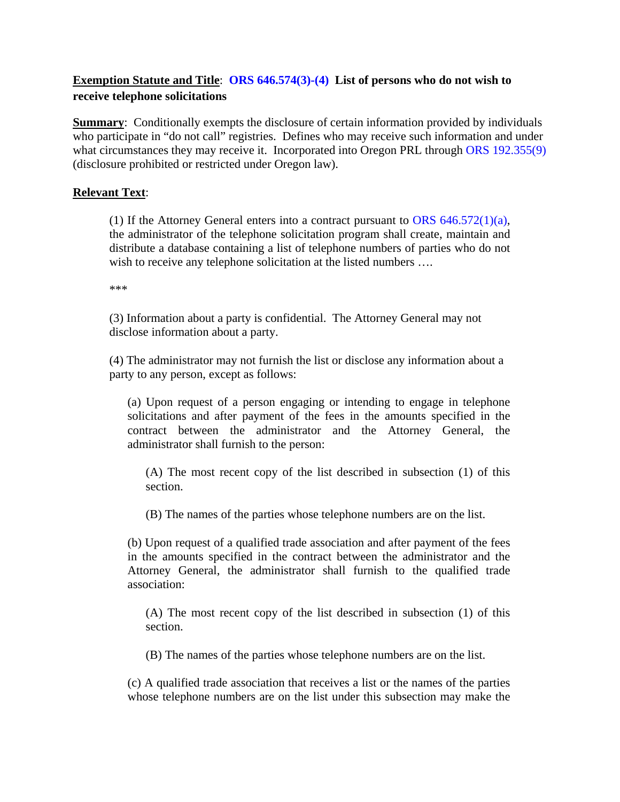# **Exemption Statute and Title**: **[ORS 646.574\(3\)-\(4\)](https://www.oregonlaws.org/ors/646.574) List of persons who do not wish to receive telephone solicitations**

**Summary:** Conditionally exempts the disclosure of certain information provided by individuals who participate in "do not call" registries. Defines who may receive such information and under what circumstances they may receive it. Incorporated into Oregon PRL through [ORS 192.355\(9\)](https://www.oregonlaws.org/ors/192.355) (disclosure prohibited or restricted under Oregon law).

## **Relevant Text**:

(1) If the Attorney General enters into a contract pursuant to ORS  $646.572(1)(a)$ , the administrator of the telephone solicitation program shall create, maintain and distribute a database containing a list of telephone numbers of parties who do not wish to receive any telephone solicitation at the listed numbers ....

\*\*\*

(3) Information about a party is confidential. The Attorney General may not disclose information about a party.

(4) The administrator may not furnish the list or disclose any information about a party to any person, except as follows:

(a) Upon request of a person engaging or intending to engage in telephone solicitations and after payment of the fees in the amounts specified in the contract between the administrator and the Attorney General, the administrator shall furnish to the person:

(A) The most recent copy of the list described in subsection (1) of this section.

(B) The names of the parties whose telephone numbers are on the list.

(b) Upon request of a qualified trade association and after payment of the fees in the amounts specified in the contract between the administrator and the Attorney General, the administrator shall furnish to the qualified trade association:

(A) The most recent copy of the list described in subsection (1) of this section.

(B) The names of the parties whose telephone numbers are on the list.

(c) A qualified trade association that receives a list or the names of the parties whose telephone numbers are on the list under this subsection may make the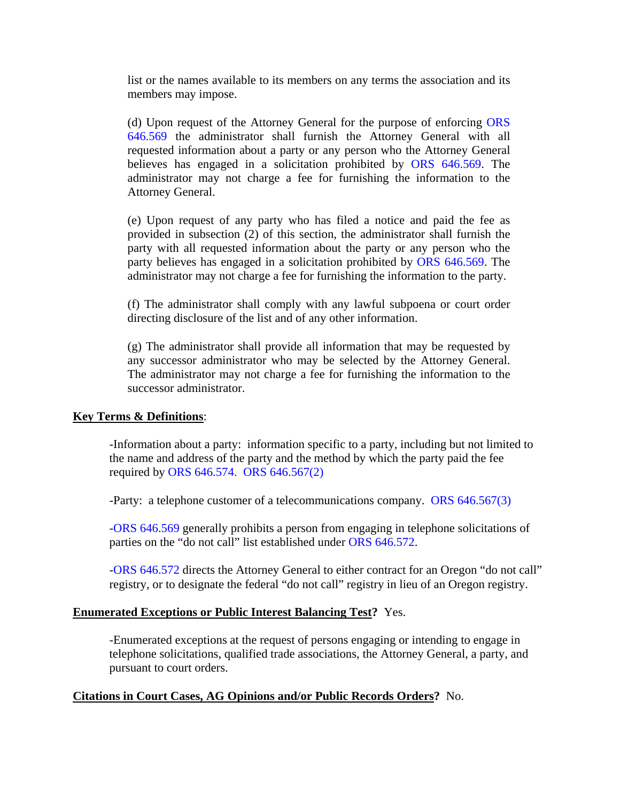list or the names available to its members on any terms the association and its members may impose.

(d) Upon request of the Attorney General for the purpose of enforcing [ORS](https://www.oregonlaws.org/ors/646.569)  [646.569](https://www.oregonlaws.org/ors/646.569) the administrator shall furnish the Attorney General with all requested information about a party or any person who the Attorney General believes has engaged in a solicitation prohibited by [ORS 646.569.](https://www.oregonlaws.org/ors/646.569) The administrator may not charge a fee for furnishing the information to the Attorney General.

(e) Upon request of any party who has filed a notice and paid the fee as provided in subsection (2) of this section, the administrator shall furnish the party with all requested information about the party or any person who the party believes has engaged in a solicitation prohibited by [ORS 646.569.](https://www.oregonlaws.org/ors/646.569) The administrator may not charge a fee for furnishing the information to the party.

(f) The administrator shall comply with any lawful subpoena or court order directing disclosure of the list and of any other information.

(g) The administrator shall provide all information that may be requested by any successor administrator who may be selected by the Attorney General. The administrator may not charge a fee for furnishing the information to the successor administrator.

### **Key Terms & Definitions**:

-Information about a party: information specific to a party, including but not limited to the name and address of the party and the method by which the party paid the fee required by [ORS 646.574.](https://www.oregonlaws.org/ors/646.574) [ORS 646.567\(2\)](https://www.oregonlaws.org/ors/646.567)

-Party: a telephone customer of a telecommunications company. [ORS 646.567\(3\)](https://www.oregonlaws.org/ors/646.567)

[-ORS 646.569](https://www.oregonlaws.org/ors/646.569https:/www.oregonlaws.org/ors/646.569) generally prohibits a person from engaging in telephone solicitations of parties on the "do not call" list established under [ORS 646.572.](https://www.oregonlaws.org/ors/646.572)

[-ORS 646.572](https://www.oregonlaws.org/ors/646.572) directs the Attorney General to either contract for an Oregon "do not call" registry, or to designate the federal "do not call" registry in lieu of an Oregon registry.

## **Enumerated Exceptions or Public Interest Balancing Test?** Yes.

-Enumerated exceptions at the request of persons engaging or intending to engage in telephone solicitations, qualified trade associations, the Attorney General, a party, and pursuant to court orders.